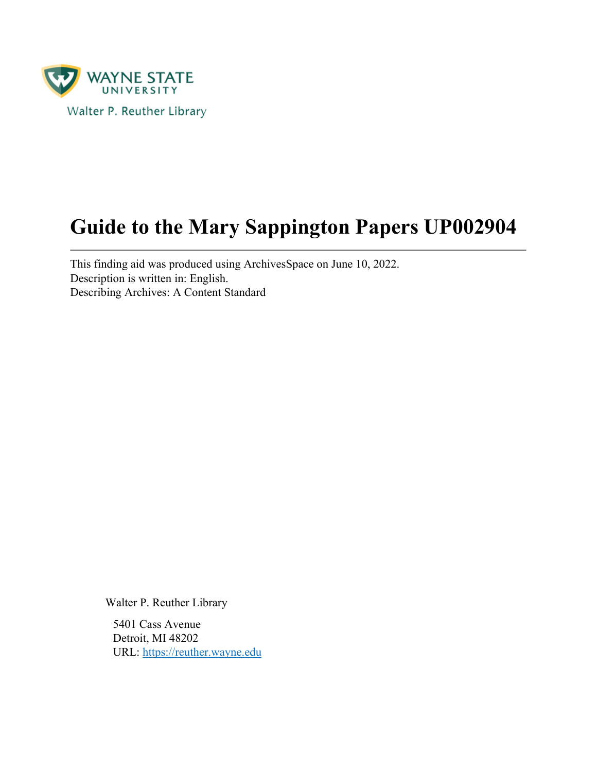

# **Guide to the Mary Sappington Papers UP002904**

This finding aid was produced using ArchivesSpace on June 10, 2022. Description is written in: English. Describing Archives: A Content Standard

Walter P. Reuther Library

5401 Cass Avenue Detroit, MI 48202 URL:<https://reuther.wayne.edu>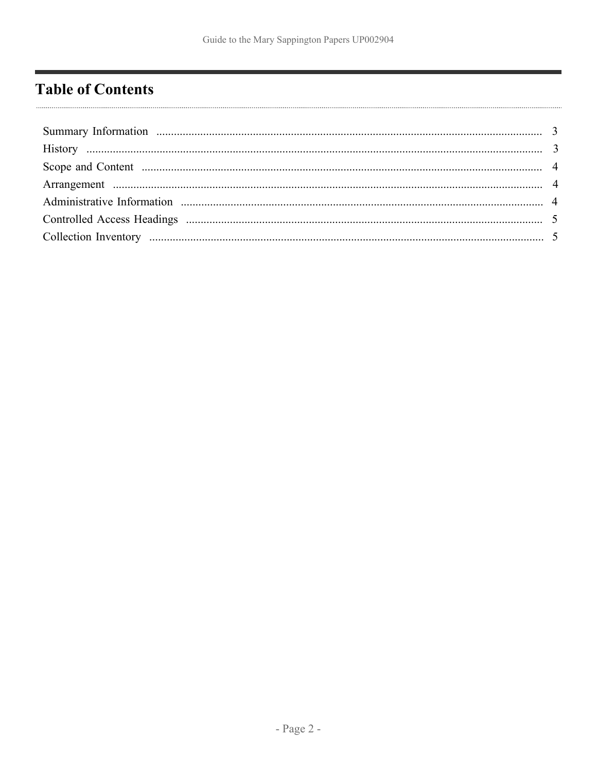# <span id="page-1-0"></span>**Table of Contents**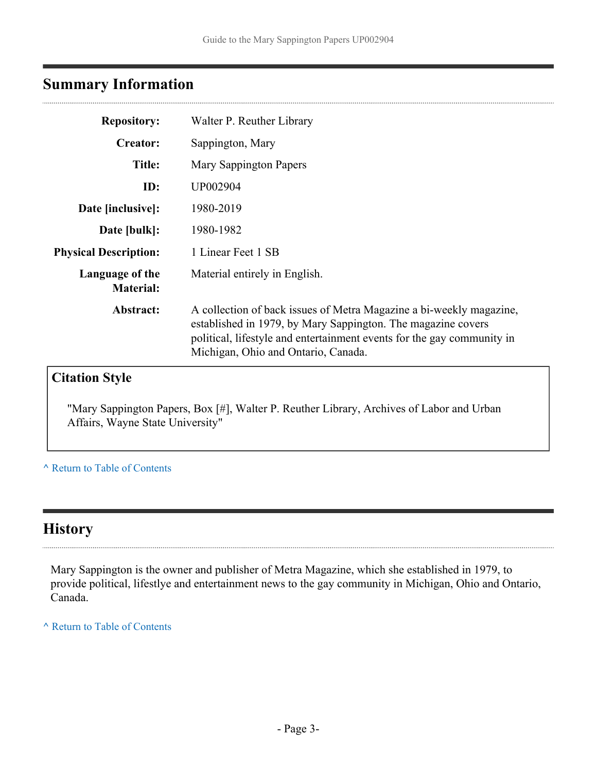# <span id="page-2-0"></span>**Summary Information**

| <b>Repository:</b>                  | Walter P. Reuther Library                                                                                                                                                                                                                            |  |
|-------------------------------------|------------------------------------------------------------------------------------------------------------------------------------------------------------------------------------------------------------------------------------------------------|--|
| <b>Creator:</b>                     | Sappington, Mary                                                                                                                                                                                                                                     |  |
| <b>Title:</b>                       | <b>Mary Sappington Papers</b>                                                                                                                                                                                                                        |  |
| ID:                                 | UP002904                                                                                                                                                                                                                                             |  |
| Date [inclusive]:                   | 1980-2019                                                                                                                                                                                                                                            |  |
| Date [bulk]:                        | 1980-1982                                                                                                                                                                                                                                            |  |
| <b>Physical Description:</b>        | 1 Linear Feet 1 SB                                                                                                                                                                                                                                   |  |
| Language of the<br><b>Material:</b> | Material entirely in English.                                                                                                                                                                                                                        |  |
| Abstract:                           | A collection of back issues of Metra Magazine a bi-weekly magazine,<br>established in 1979, by Mary Sappington. The magazine covers<br>political, lifestyle and entertainment events for the gay community in<br>Michigan, Ohio and Ontario, Canada. |  |
| <b>Citation Style</b>               |                                                                                                                                                                                                                                                      |  |

"Mary Sappington Papers, Box [#], Walter P. Reuther Library, Archives of Labor and Urban Affairs, Wayne State University"

**^** [Return to Table of Contents](#page-1-0)

## <span id="page-2-1"></span>**History**

. . . . . . . . . .

Mary Sappington is the owner and publisher of Metra Magazine, which she established in 1979, to provide political, lifestlye and entertainment news to the gay community in Michigan, Ohio and Ontario, Canada.

**^** [Return to Table of Contents](#page-1-0)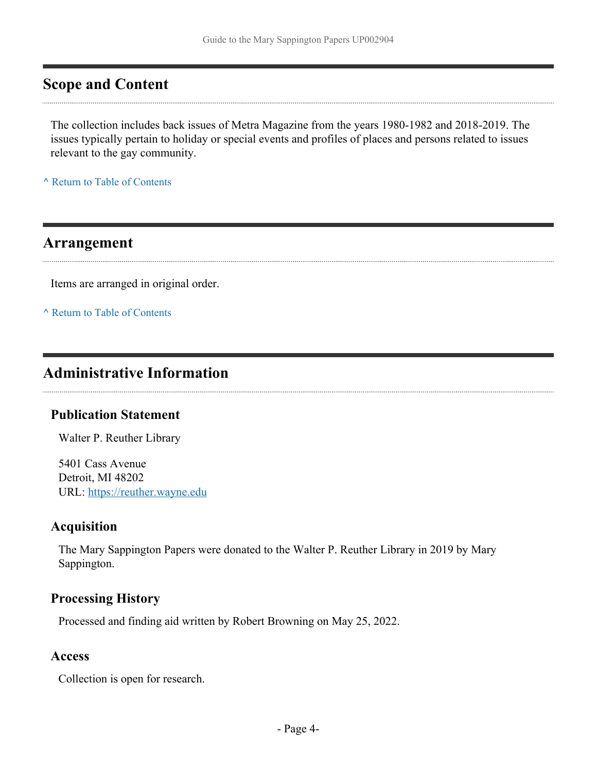### <span id="page-3-0"></span>**Scope and Content**

The collection includes back issues of Metra Magazine from the years 1980-1982 and 2018-2019. The issues typically pertain to holiday or special events and profiles of places and persons related to issues relevant to the gay community.

**^** [Return to Table of Contents](#page-1-0)

#### <span id="page-3-1"></span>**Arrangement**

Items are arranged in original order.

**^** [Return to Table of Contents](#page-1-0)

### <span id="page-3-2"></span>**Administrative Information**

#### **Publication Statement**

Walter P. Reuther Library

5401 Cass Avenue Detroit, MI 48202 URL:<https://reuther.wayne.edu>

#### **Acquisition**

The Mary Sappington Papers were donated to the Walter P. Reuther Library in 2019 by Mary Sappington.

#### **Processing History**

Processed and finding aid written by Robert Browning on May 25, 2022.

#### **Access**

Collection is open for research.